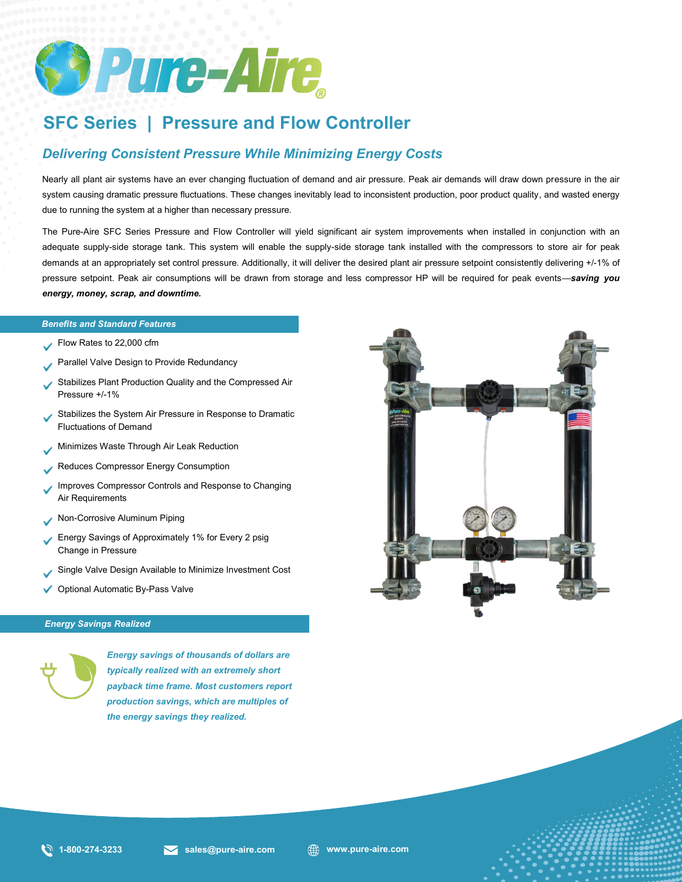

# **SFC Series | Pressure and Flow Controller**

## *Delivering Consistent Pressure While Minimizing Energy Costs*

Nearly all plant air systems have an ever changing fluctuation of demand and air pressure. Peak air demands will draw down pressure in the air system causing dramatic pressure fluctuations. These changes inevitably lead to inconsistent production, poor product quality, and wasted energy due to running the system at a higher than necessary pressure.

*Benefits and Standard Features* adequate supply-side storage tank. This system will enable the supply-side storage tank installed with the compressors to store air for peak The Pure-Aire SFC Series Pressure and Flow Controller will yield significant air system improvements when installed in conjunction with an demands at an appropriately set control pressure. Additionally, it will deliver the desired plant air pressure setpoint consistently delivering +/-1% of pressure setpoint. Peak air consumptions will be drawn from storage and less compressor HP will be required for peak events—*saving you energy, money, scrap, and downtime.* 

#### *Benefits and Standard Features*

- Flow Rates to 22,000 cfm
- Parallel Valve Design to Provide Redundancy
- Stabilizes Plant Production Quality and the Compressed Air Pressure +/-1%
- Stabilizes the System Air Pressure in Response to Dramatic Fluctuations of Demand
- Minimizes Waste Through Air Leak Reduction
- Reduces Compressor Energy Consumption
- Improves Compressor Controls and Response to Changing Air Requirements
- Non-Corrosive Aluminum Piping
- Energy Savings of Approximately 1% for Every 2 psig Change in Pressure
- Single Valve Design Available to Minimize Investment Cost
- ◆ Optional Automatic By-Pass Valve

#### *Energy Savings Realized*



*Energy savings of thousands of dollars are typically realized with an extremely short payback time frame. Most customers report production savings, which are multiples of the energy savings they realized.*